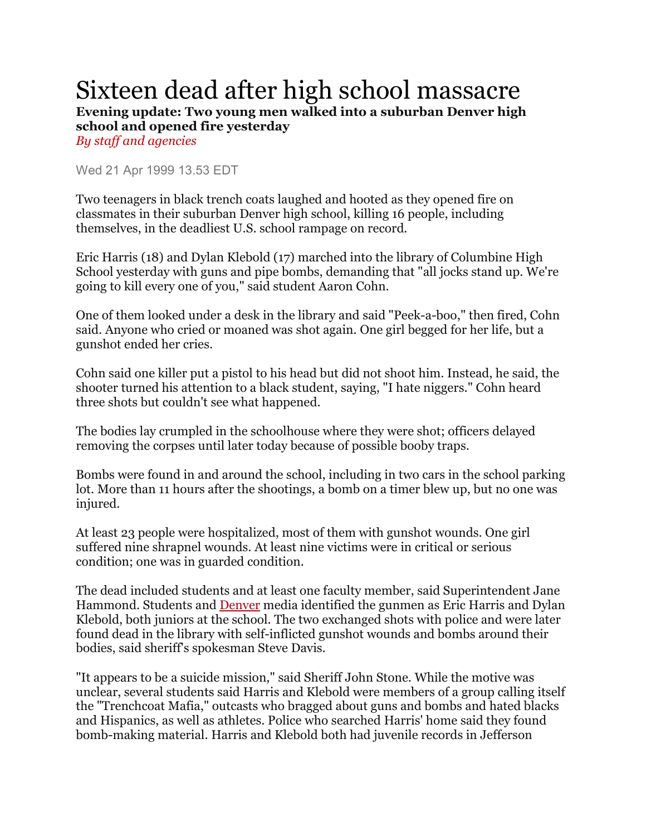## Sixteen dead after high school massacre

**Evening update: Two young men walked into a suburban Denver high school and opened fire yesterday**

*By staff and agencies*

Wed 21 Apr 1999 13.53 EDT

Two teenagers in black trench coats laughed and hooted as they opened fire on classmates in their suburban Denver high school, killing 16 people, including themselves, in the deadliest U.S. school rampage on record.

Eric Harris (18) and Dylan Klebold (17) marched into the library of Columbine High School yesterday with guns and pipe bombs, demanding that "all jocks stand up. We're going to kill every one of you," said student Aaron Cohn.

One of them looked under a desk in the library and said "Peek-a-boo," then fired, Cohn said. Anyone who cried or moaned was shot again. One girl begged for her life, but a gunshot ended her cries.

Cohn said one killer put a pistol to his head but did not shoot him. Instead, he said, the shooter turned his attention to a black student, saying, "I hate niggers." Cohn heard three shots but couldn't see what happened.

The bodies lay crumpled in the schoolhouse where they were shot; officers delayed removing the corpses until later today because of possible booby traps.

Bombs were found in and around the school, including in two cars in the school parking lot. More than 11 hours after the shootings, a bomb on a timer blew up, but no one was injured.

At least 23 people were hospitalized, most of them with gunshot wounds. One girl suffered nine shrapnel wounds. At least nine victims were in critical or serious condition; one was in guarded condition.

The dead included students and at least one faculty member, said Superintendent Jane Hammond. Students and [Denver](https://www.theguardian.com/us-news/denver) media identified the gunmen as Eric Harris and Dylan Klebold, both juniors at the school. The two exchanged shots with police and were later found dead in the library with self-inflicted gunshot wounds and bombs around their bodies, said sheriff's spokesman Steve Davis.

"It appears to be a suicide mission," said Sheriff John Stone. While the motive was unclear, several students said Harris and Klebold were members of a group calling itself the "Trenchcoat Mafia," outcasts who bragged about guns and bombs and hated blacks and Hispanics, as well as athletes. Police who searched Harris' home said they found bomb-making material. Harris and Klebold both had juvenile records in Jefferson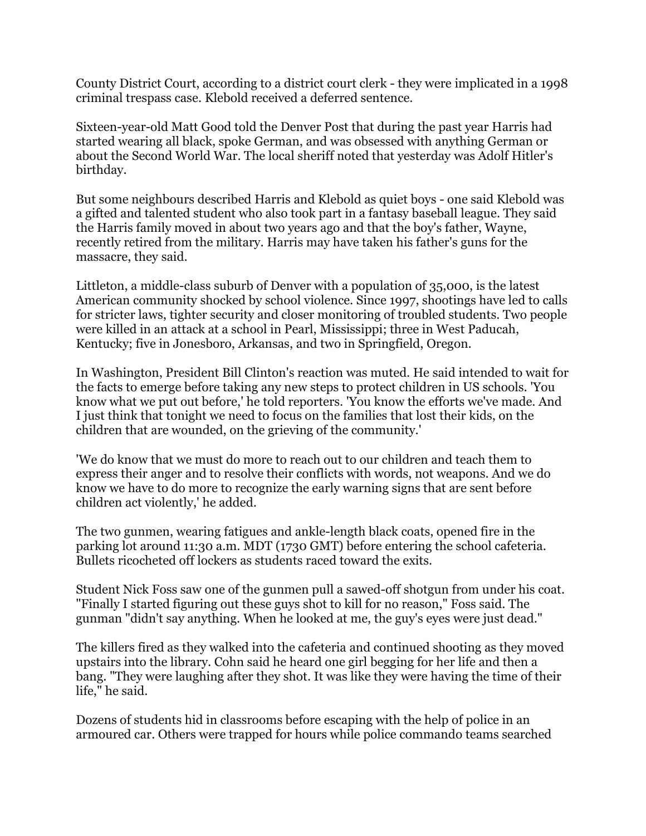County District Court, according to a district court clerk - they were implicated in a 1998 criminal trespass case. Klebold received a deferred sentence.

Sixteen-year-old Matt Good told the Denver Post that during the past year Harris had started wearing all black, spoke German, and was obsessed with anything German or about the Second World War. The local sheriff noted that yesterday was Adolf Hitler's birthday.

But some neighbours described Harris and Klebold as quiet boys - one said Klebold was a gifted and talented student who also took part in a fantasy baseball league. They said the Harris family moved in about two years ago and that the boy's father, Wayne, recently retired from the military. Harris may have taken his father's guns for the massacre, they said.

Littleton, a middle-class suburb of Denver with a population of 35,000, is the latest American community shocked by school violence. Since 1997, shootings have led to calls for stricter laws, tighter security and closer monitoring of troubled students. Two people were killed in an attack at a school in Pearl, Mississippi; three in West Paducah, Kentucky; five in Jonesboro, Arkansas, and two in Springfield, Oregon.

In Washington, President Bill Clinton's reaction was muted. He said intended to wait for the facts to emerge before taking any new steps to protect children in US schools. 'You know what we put out before,' he told reporters. 'You know the efforts we've made. And I just think that tonight we need to focus on the families that lost their kids, on the children that are wounded, on the grieving of the community.'

'We do know that we must do more to reach out to our children and teach them to express their anger and to resolve their conflicts with words, not weapons. And we do know we have to do more to recognize the early warning signs that are sent before children act violently,' he added.

The two gunmen, wearing fatigues and ankle-length black coats, opened fire in the parking lot around 11:30 a.m. MDT (1730 GMT) before entering the school cafeteria. Bullets ricocheted off lockers as students raced toward the exits.

Student Nick Foss saw one of the gunmen pull a sawed-off shotgun from under his coat. "Finally I started figuring out these guys shot to kill for no reason," Foss said. The gunman "didn't say anything. When he looked at me, the guy's eyes were just dead."

The killers fired as they walked into the cafeteria and continued shooting as they moved upstairs into the library. Cohn said he heard one girl begging for her life and then a bang. "They were laughing after they shot. It was like they were having the time of their life," he said.

Dozens of students hid in classrooms before escaping with the help of police in an armoured car. Others were trapped for hours while police commando teams searched